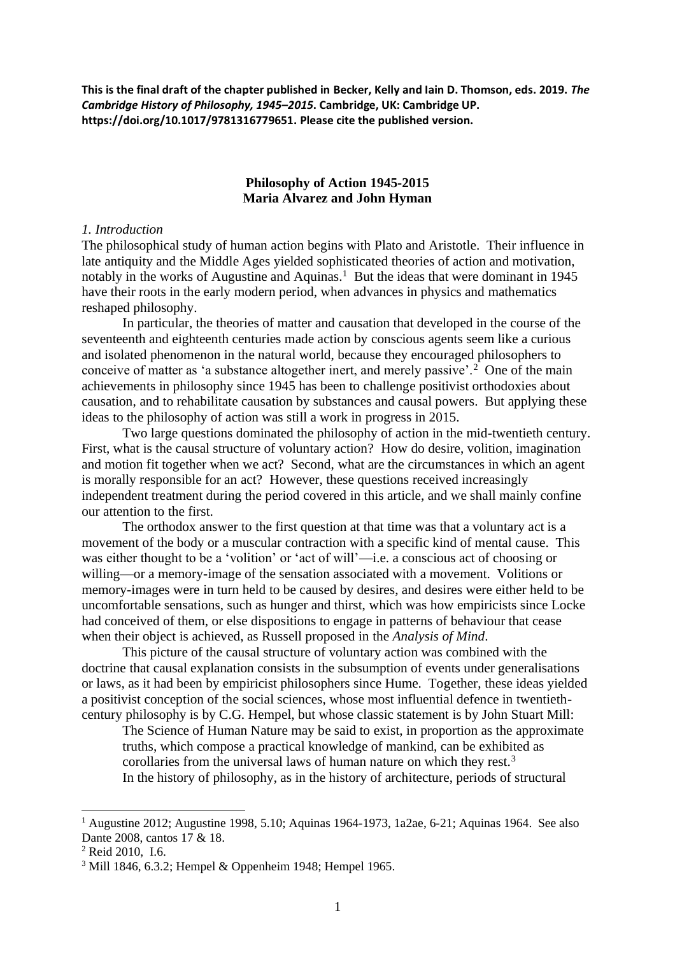**This is the final draft of the chapter published in Becker, Kelly and Iain D. Thomson, eds. 2019.** *The Cambridge History of Philosophy, 1945–2015***. Cambridge, UK: Cambridge UP. https://doi.org/10.1017/9781316779651. Please cite the published version.**

# **Philosophy of Action 1945-2015 Maria Alvarez and John Hyman**

### *1. Introduction*

The philosophical study of human action begins with Plato and Aristotle. Their influence in late antiquity and the Middle Ages yielded sophisticated theories of action and motivation, notably in the works of Augustine and Aquinas.<sup>1</sup> But the ideas that were dominant in 1945 have their roots in the early modern period, when advances in physics and mathematics reshaped philosophy.

In particular, the theories of matter and causation that developed in the course of the seventeenth and eighteenth centuries made action by conscious agents seem like a curious and isolated phenomenon in the natural world, because they encouraged philosophers to conceive of matter as 'a substance altogether inert, and merely passive'.<sup>2</sup> One of the main achievements in philosophy since 1945 has been to challenge positivist orthodoxies about causation, and to rehabilitate causation by substances and causal powers. But applying these ideas to the philosophy of action was still a work in progress in 2015.

Two large questions dominated the philosophy of action in the mid-twentieth century. First, what is the causal structure of voluntary action? How do desire, volition, imagination and motion fit together when we act? Second, what are the circumstances in which an agent is morally responsible for an act? However, these questions received increasingly independent treatment during the period covered in this article, and we shall mainly confine our attention to the first.

The orthodox answer to the first question at that time was that a voluntary act is a movement of the body or a muscular contraction with a specific kind of mental cause. This was either thought to be a 'volition' or 'act of will'—i.e. a conscious act of choosing or willing—or a memory-image of the sensation associated with a movement. Volitions or memory-images were in turn held to be caused by desires, and desires were either held to be uncomfortable sensations, such as hunger and thirst, which was how empiricists since Locke had conceived of them, or else dispositions to engage in patterns of behaviour that cease when their object is achieved, as Russell proposed in the *Analysis of Mind*.

This picture of the causal structure of voluntary action was combined with the doctrine that causal explanation consists in the subsumption of events under generalisations or laws, as it had been by empiricist philosophers since Hume. Together, these ideas yielded a positivist conception of the social sciences, whose most influential defence in twentiethcentury philosophy is by C.G. Hempel, but whose classic statement is by John Stuart Mill:

The Science of Human Nature may be said to exist, in proportion as the approximate truths, which compose a practical knowledge of mankind, can be exhibited as corollaries from the universal laws of human nature on which they rest.<sup>3</sup> In the history of philosophy, as in the history of architecture, periods of structural

 $1$  Augustine 2012; Augustine 1998, 5.10; Aquinas 1964-1973, 1a2ae, 6-21; Aquinas 1964. See also Dante 2008, cantos 17 & 18.

<sup>&</sup>lt;sup>2</sup> Reid 2010, I.6.

<sup>3</sup> Mill 1846, 6.3.2; Hempel & Oppenheim 1948; Hempel 1965.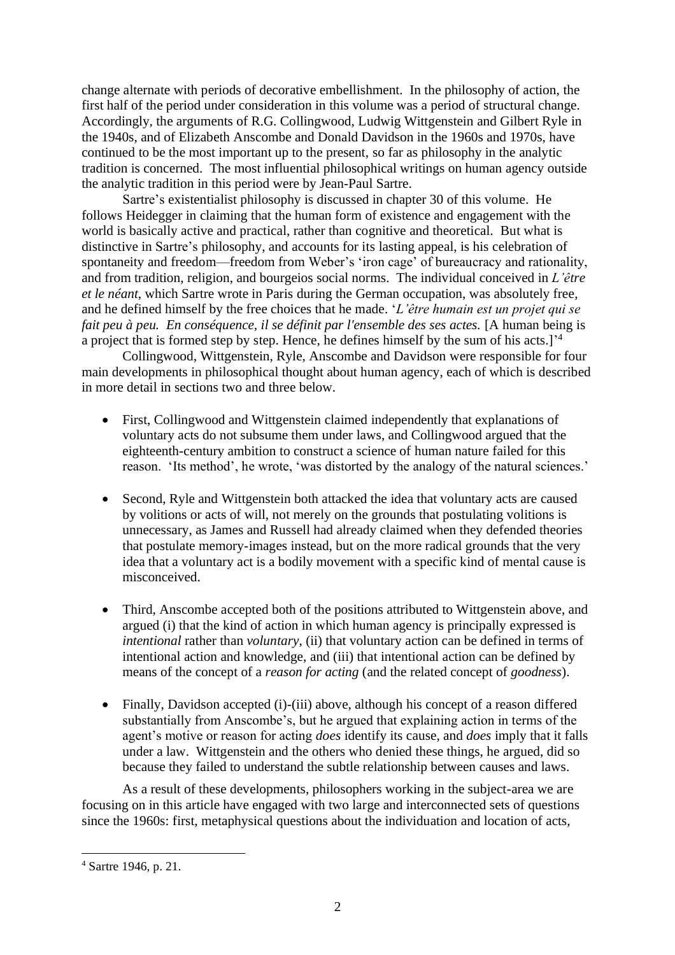change alternate with periods of decorative embellishment. In the philosophy of action, the first half of the period under consideration in this volume was a period of structural change. Accordingly, the arguments of R.G. Collingwood, Ludwig Wittgenstein and Gilbert Ryle in the 1940s, and of Elizabeth Anscombe and Donald Davidson in the 1960s and 1970s, have continued to be the most important up to the present, so far as philosophy in the analytic tradition is concerned. The most influential philosophical writings on human agency outside the analytic tradition in this period were by Jean-Paul Sartre.

Sartre's existentialist philosophy is discussed in chapter 30 of this volume. He follows Heidegger in claiming that the human form of existence and engagement with the world is basically active and practical, rather than cognitive and theoretical. But what is distinctive in Sartre's philosophy, and accounts for its lasting appeal, is his celebration of spontaneity and freedom—freedom from Weber's 'iron cage' of bureaucracy and rationality, and from tradition, religion, and bourgeios social norms. The individual conceived in *L'être et le néant*, which Sartre wrote in Paris during the German occupation, was absolutely free, and he defined himself by the free choices that he made. '*L'être humain est un projet qui se fait peu à peu. En conséquence, il se définit par l'ensemble des ses actes.* [A human being is a project that is formed step by step. Hence, he defines himself by the sum of his acts.]<sup>14</sup>

Collingwood, Wittgenstein, Ryle, Anscombe and Davidson were responsible for four main developments in philosophical thought about human agency, each of which is described in more detail in sections two and three below.

- First, Collingwood and Wittgenstein claimed independently that explanations of voluntary acts do not subsume them under laws, and Collingwood argued that the eighteenth-century ambition to construct a science of human nature failed for this reason. 'Its method', he wrote, 'was distorted by the analogy of the natural sciences.'
- Second, Ryle and Wittgenstein both attacked the idea that voluntary acts are caused by volitions or acts of will, not merely on the grounds that postulating volitions is unnecessary, as James and Russell had already claimed when they defended theories that postulate memory-images instead, but on the more radical grounds that the very idea that a voluntary act is a bodily movement with a specific kind of mental cause is misconceived.
- Third, Anscombe accepted both of the positions attributed to Wittgenstein above, and argued (i) that the kind of action in which human agency is principally expressed is *intentional* rather than *voluntary*, (ii) that voluntary action can be defined in terms of intentional action and knowledge, and (iii) that intentional action can be defined by means of the concept of a *reason for acting* (and the related concept of *goodness*).
- Finally, Davidson accepted (i)-(iii) above, although his concept of a reason differed substantially from Anscombe's, but he argued that explaining action in terms of the agent's motive or reason for acting *does* identify its cause, and *does* imply that it falls under a law. Wittgenstein and the others who denied these things, he argued, did so because they failed to understand the subtle relationship between causes and laws.

As a result of these developments, philosophers working in the subject-area we are focusing on in this article have engaged with two large and interconnected sets of questions since the 1960s: first, metaphysical questions about the individuation and location of acts,

<sup>4</sup> Sartre 1946, p. 21.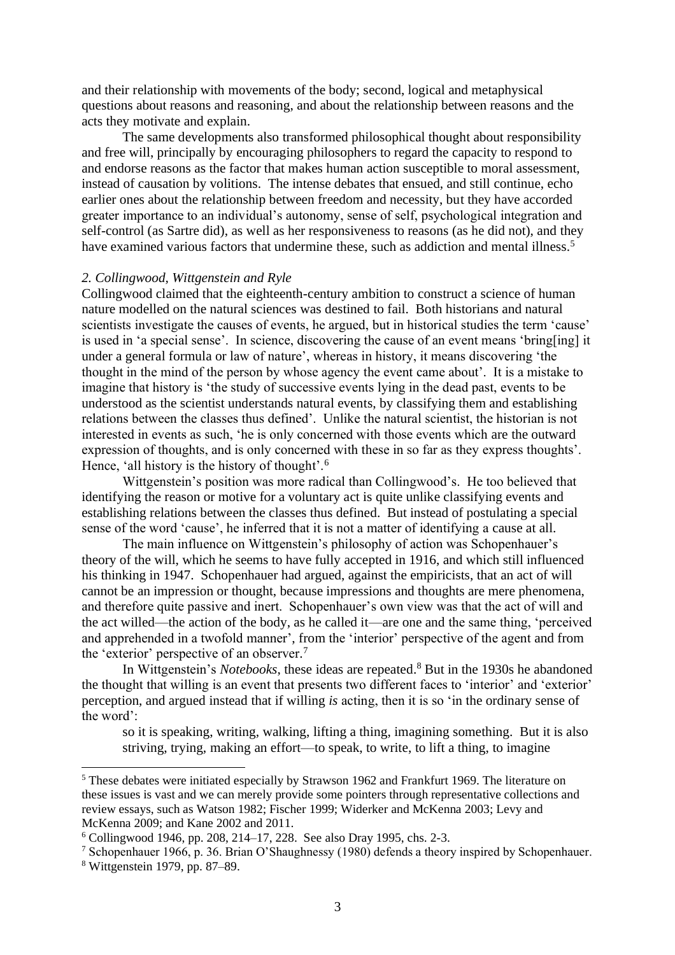and their relationship with movements of the body; second, logical and metaphysical questions about reasons and reasoning, and about the relationship between reasons and the acts they motivate and explain.

The same developments also transformed philosophical thought about responsibility and free will, principally by encouraging philosophers to regard the capacity to respond to and endorse reasons as the factor that makes human action susceptible to moral assessment, instead of causation by volitions. The intense debates that ensued, and still continue, echo earlier ones about the relationship between freedom and necessity, but they have accorded greater importance to an individual's autonomy, sense of self, psychological integration and self-control (as Sartre did), as well as her responsiveness to reasons (as he did not), and they have examined various factors that undermine these, such as addiction and mental illness.<sup>5</sup>

## *2. Collingwood, Wittgenstein and Ryle*

Collingwood claimed that the eighteenth-century ambition to construct a science of human nature modelled on the natural sciences was destined to fail. Both historians and natural scientists investigate the causes of events, he argued, but in historical studies the term 'cause' is used in 'a special sense'. In science, discovering the cause of an event means 'bring[ing] it under a general formula or law of nature', whereas in history, it means discovering 'the thought in the mind of the person by whose agency the event came about'. It is a mistake to imagine that history is 'the study of successive events lying in the dead past, events to be understood as the scientist understands natural events, by classifying them and establishing relations between the classes thus defined'. Unlike the natural scientist, the historian is not interested in events as such, 'he is only concerned with those events which are the outward expression of thoughts, and is only concerned with these in so far as they express thoughts'. Hence, 'all history is the history of thought'.<sup>6</sup>

Wittgenstein's position was more radical than Collingwood's. He too believed that identifying the reason or motive for a voluntary act is quite unlike classifying events and establishing relations between the classes thus defined. But instead of postulating a special sense of the word 'cause', he inferred that it is not a matter of identifying a cause at all.

The main influence on Wittgenstein's philosophy of action was Schopenhauer's theory of the will, which he seems to have fully accepted in 1916, and which still influenced his thinking in 1947. Schopenhauer had argued, against the empiricists, that an act of will cannot be an impression or thought, because impressions and thoughts are mere phenomena, and therefore quite passive and inert. Schopenhauer's own view was that the act of will and the act willed—the action of the body, as he called it—are one and the same thing, 'perceived and apprehended in a twofold manner', from the 'interior' perspective of the agent and from the 'exterior' perspective of an observer.<sup>7</sup>

In Wittgenstein's *Notebooks*, these ideas are repeated. <sup>8</sup> But in the 1930s he abandoned the thought that willing is an event that presents two different faces to 'interior' and 'exterior' perception, and argued instead that if willing *is* acting, then it is so 'in the ordinary sense of the word':

so it is speaking, writing, walking, lifting a thing, imagining something. But it is also striving, trying, making an effort—to speak, to write, to lift a thing, to imagine

<sup>&</sup>lt;sup>5</sup> These debates were initiated especially by Strawson 1962 and Frankfurt 1969. The literature on these issues is vast and we can merely provide some pointers through representative collections and review essays, such as Watson 1982; Fischer 1999; Widerker and McKenna 2003; Levy and McKenna 2009; and Kane 2002 and 2011.

 $6$  Collingwood 1946, pp. 208, 214–17, 228. See also Dray 1995, chs. 2-3.

<sup>7</sup> Schopenhauer 1966, p. 36. Brian O'Shaughnessy (1980) defends a theory inspired by Schopenhauer.

<sup>8</sup> Wittgenstein 1979, pp. 87–89.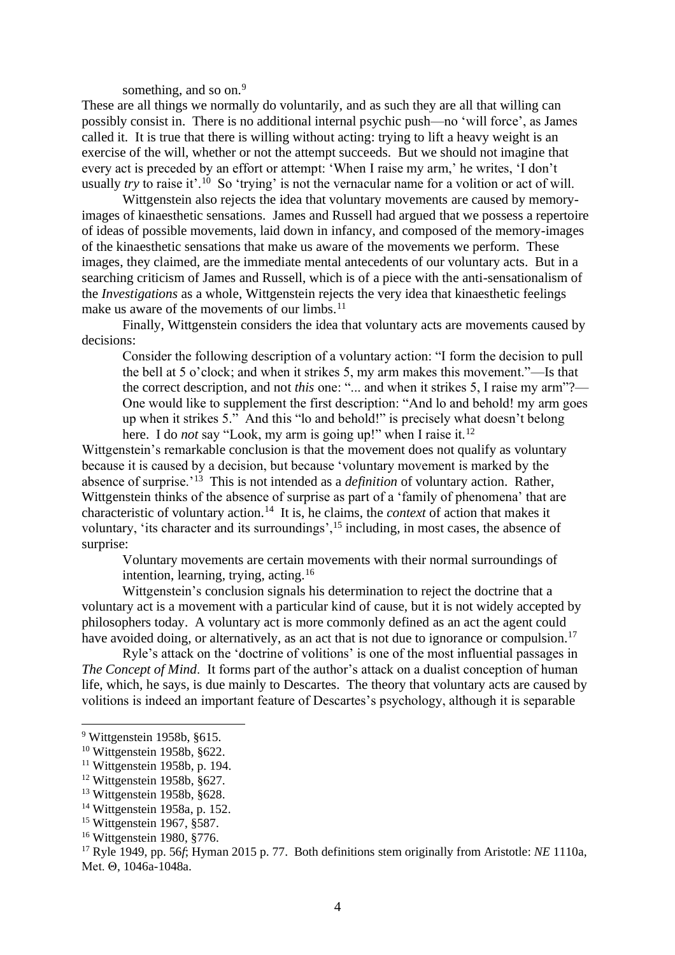something, and so on.<sup>9</sup>

These are all things we normally do voluntarily, and as such they are all that willing can possibly consist in. There is no additional internal psychic push—no 'will force', as James called it. It is true that there is willing without acting: trying to lift a heavy weight is an exercise of the will, whether or not the attempt succeeds. But we should not imagine that every act is preceded by an effort or attempt: 'When I raise my arm,' he writes, 'I don't usually *try* to raise it'.<sup>10</sup> So 'trying' is not the vernacular name for a volition or act of will.

Wittgenstein also rejects the idea that voluntary movements are caused by memoryimages of kinaesthetic sensations. James and Russell had argued that we possess a repertoire of ideas of possible movements, laid down in infancy, and composed of the memory-images of the kinaesthetic sensations that make us aware of the movements we perform. These images, they claimed, are the immediate mental antecedents of our voluntary acts. But in a searching criticism of James and Russell, which is of a piece with the anti-sensationalism of the *Investigations* as a whole, Wittgenstein rejects the very idea that kinaesthetic feelings make us aware of the movements of our limbs.<sup>11</sup>

Finally, Wittgenstein considers the idea that voluntary acts are movements caused by decisions:

Consider the following description of a voluntary action: "I form the decision to pull the bell at 5 o'clock; and when it strikes 5, my arm makes this movement."—Is that the correct description, and not *this* one: "... and when it strikes 5, I raise my arm"?— One would like to supplement the first description: "And lo and behold! my arm goes up when it strikes 5." And this "lo and behold!" is precisely what doesn't belong here. I do *not* say "Look, my arm is going up!" when I raise it.<sup>12</sup>

Wittgenstein's remarkable conclusion is that the movement does not qualify as voluntary because it is caused by a decision, but because 'voluntary movement is marked by the absence of surprise.'<sup>13</sup> This is not intended as a *definition* of voluntary action. Rather, Wittgenstein thinks of the absence of surprise as part of a 'family of phenomena' that are characteristic of voluntary action.<sup>14</sup> It is, he claims, the *context* of action that makes it voluntary, 'its character and its surroundings',<sup>15</sup> including, in most cases, the absence of surprise:

Voluntary movements are certain movements with their normal surroundings of intention, learning, trying, acting.<sup>16</sup>

Wittgenstein's conclusion signals his determination to reject the doctrine that a voluntary act is a movement with a particular kind of cause, but it is not widely accepted by philosophers today. A voluntary act is more commonly defined as an act the agent could have avoided doing, or alternatively, as an act that is not due to ignorance or compulsion.<sup>17</sup>

Ryle's attack on the 'doctrine of volitions' is one of the most influential passages in *The Concept of Mind*. It forms part of the author's attack on a dualist conception of human life, which, he says, is due mainly to Descartes. The theory that voluntary acts are caused by volitions is indeed an important feature of Descartes's psychology, although it is separable

<sup>9</sup> Wittgenstein 1958b, §615.

<sup>10</sup> Wittgenstein 1958b, §622.

 $11$  Wittgenstein 1958b, p. 194.

<sup>12</sup> Wittgenstein 1958b, §627.

<sup>13</sup> Wittgenstein 1958b, §628.

<sup>14</sup> Wittgenstein 1958a, p. 152.

<sup>15</sup> Wittgenstein 1967, §587.

<sup>16</sup> Wittgenstein 1980, §776.

<sup>17</sup> Ryle 1949, pp. 56*f*; Hyman 2015 p. 77. Both definitions stem originally from Aristotle: *NE* 1110a, Met. Θ, 1046a-1048a.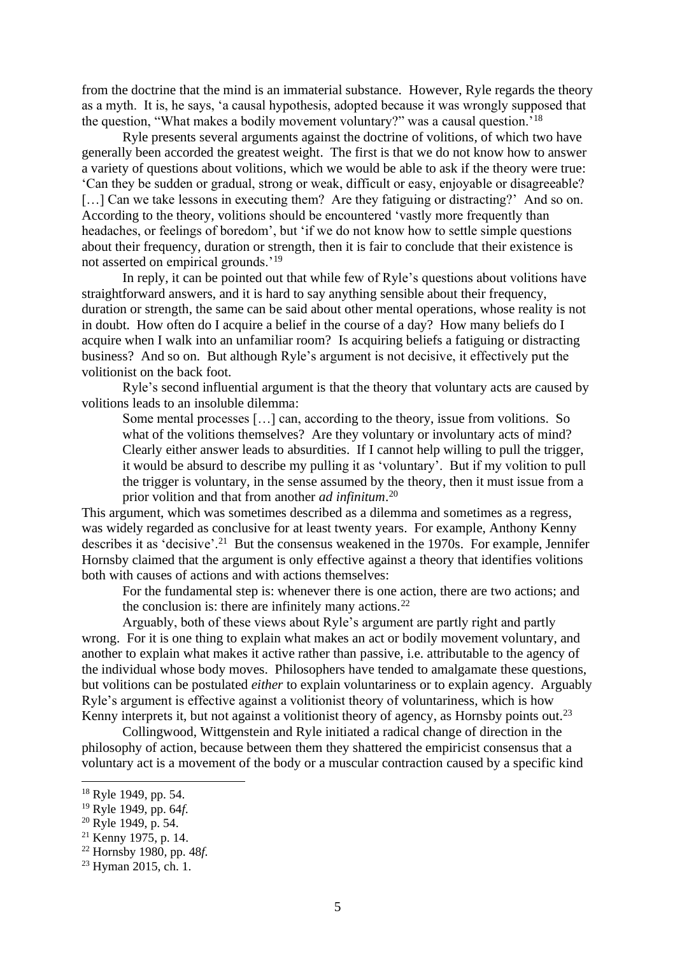from the doctrine that the mind is an immaterial substance. However, Ryle regards the theory as a myth. It is, he says, 'a causal hypothesis, adopted because it was wrongly supposed that the question, "What makes a bodily movement voluntary?" was a causal question.'<sup>18</sup>

Ryle presents several arguments against the doctrine of volitions, of which two have generally been accorded the greatest weight. The first is that we do not know how to answer a variety of questions about volitions, which we would be able to ask if the theory were true: 'Can they be sudden or gradual, strong or weak, difficult or easy, enjoyable or disagreeable? [...] Can we take lessons in executing them? Are they fatiguing or distracting?' And so on. According to the theory, volitions should be encountered 'vastly more frequently than headaches, or feelings of boredom', but 'if we do not know how to settle simple questions about their frequency, duration or strength, then it is fair to conclude that their existence is not asserted on empirical grounds.'<sup>19</sup>

In reply, it can be pointed out that while few of Ryle's questions about volitions have straightforward answers, and it is hard to say anything sensible about their frequency, duration or strength, the same can be said about other mental operations, whose reality is not in doubt. How often do I acquire a belief in the course of a day? How many beliefs do I acquire when I walk into an unfamiliar room? Is acquiring beliefs a fatiguing or distracting business? And so on. But although Ryle's argument is not decisive, it effectively put the volitionist on the back foot.

Ryle's second influential argument is that the theory that voluntary acts are caused by volitions leads to an insoluble dilemma:

Some mental processes […] can, according to the theory, issue from volitions. So what of the volitions themselves? Are they voluntary or involuntary acts of mind? Clearly either answer leads to absurdities. If I cannot help willing to pull the trigger, it would be absurd to describe my pulling it as 'voluntary'. But if my volition to pull the trigger is voluntary, in the sense assumed by the theory, then it must issue from a prior volition and that from another *ad infinitum*. 20

This argument, which was sometimes described as a dilemma and sometimes as a regress, was widely regarded as conclusive for at least twenty years. For example, Anthony Kenny describes it as 'decisive'.<sup>21</sup> But the consensus weakened in the 1970s. For example, Jennifer Hornsby claimed that the argument is only effective against a theory that identifies volitions both with causes of actions and with actions themselves:

For the fundamental step is: whenever there is one action, there are two actions; and the conclusion is: there are infinitely many actions.<sup>22</sup>

Arguably, both of these views about Ryle's argument are partly right and partly wrong. For it is one thing to explain what makes an act or bodily movement voluntary, and another to explain what makes it active rather than passive, i.e. attributable to the agency of the individual whose body moves. Philosophers have tended to amalgamate these questions, but volitions can be postulated *either* to explain voluntariness or to explain agency. Arguably Ryle's argument is effective against a volitionist theory of voluntariness, which is how Kenny interprets it, but not against a volitionist theory of agency, as Hornsby points out.<sup>23</sup>

Collingwood, Wittgenstein and Ryle initiated a radical change of direction in the philosophy of action, because between them they shattered the empiricist consensus that a voluntary act is a movement of the body or a muscular contraction caused by a specific kind

<sup>18</sup> Ryle 1949, pp. 54.

<sup>19</sup> Ryle 1949, pp. 64*f*.

 $20$  Ryle 1949, p. 54.

 $21$  Kenny 1975, p. 14.

<sup>22</sup> Hornsby 1980*,* pp. 48*f*.

<sup>23</sup> Hyman 2015, ch. 1.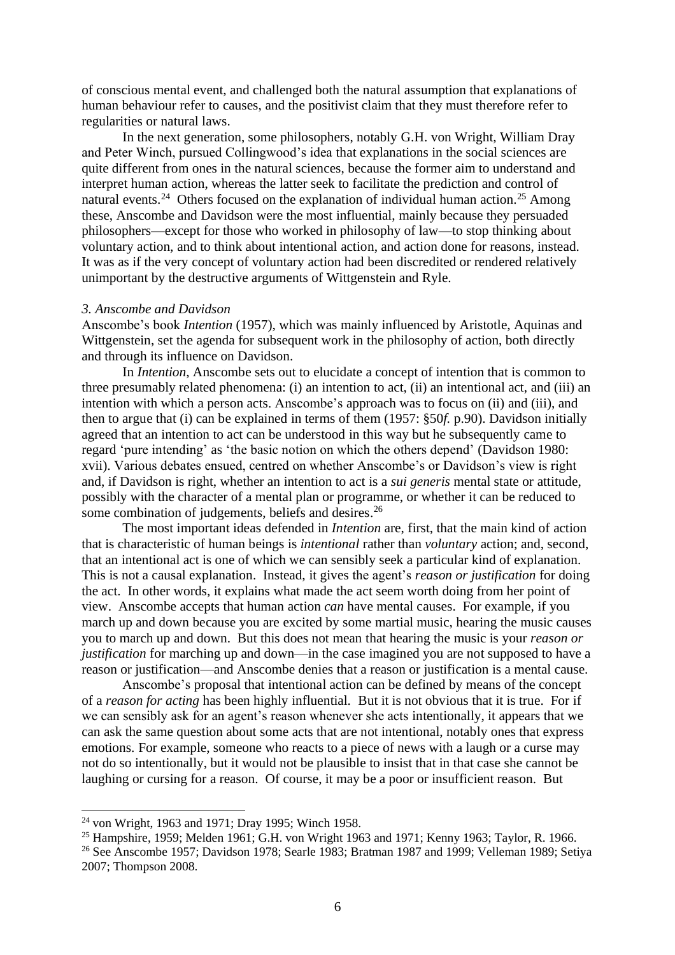of conscious mental event, and challenged both the natural assumption that explanations of human behaviour refer to causes, and the positivist claim that they must therefore refer to regularities or natural laws.

In the next generation, some philosophers, notably G.H. von Wright, William Dray and Peter Winch, pursued Collingwood's idea that explanations in the social sciences are quite different from ones in the natural sciences, because the former aim to understand and interpret human action, whereas the latter seek to facilitate the prediction and control of natural events.<sup>24</sup> Others focused on the explanation of individual human action.<sup>25</sup> Among these, Anscombe and Davidson were the most influential, mainly because they persuaded philosophers—except for those who worked in philosophy of law—to stop thinking about voluntary action, and to think about intentional action, and action done for reasons, instead. It was as if the very concept of voluntary action had been discredited or rendered relatively unimportant by the destructive arguments of Wittgenstein and Ryle.

### *3. Anscombe and Davidson*

Anscombe's book *Intention* (1957), which was mainly influenced by Aristotle, Aquinas and Wittgenstein, set the agenda for subsequent work in the philosophy of action, both directly and through its influence on Davidson.

In *Intention*, Anscombe sets out to elucidate a concept of intention that is common to three presumably related phenomena: (i) an intention to act, (ii) an intentional act, and (iii) an intention with which a person acts. Anscombe's approach was to focus on (ii) and (iii), and then to argue that (i) can be explained in terms of them (1957: §50*f.* p.90). Davidson initially agreed that an intention to act can be understood in this way but he subsequently came to regard 'pure intending' as 'the basic notion on which the others depend' (Davidson 1980: xvii). Various debates ensued, centred on whether Anscombe's or Davidson's view is right and, if Davidson is right, whether an intention to act is a *sui generis* mental state or attitude, possibly with the character of a mental plan or programme, or whether it can be reduced to some combination of judgements, beliefs and desires.<sup>26</sup>

The most important ideas defended in *Intention* are, first, that the main kind of action that is characteristic of human beings is *intentional* rather than *voluntary* action; and, second, that an intentional act is one of which we can sensibly seek a particular kind of explanation. This is not a causal explanation. Instead, it gives the agent's *reason or justification* for doing the act. In other words, it explains what made the act seem worth doing from her point of view. Anscombe accepts that human action *can* have mental causes. For example, if you march up and down because you are excited by some martial music, hearing the music causes you to march up and down. But this does not mean that hearing the music is your *reason or justification* for marching up and down—in the case imagined you are not supposed to have a reason or justification—and Anscombe denies that a reason or justification is a mental cause.

Anscombe's proposal that intentional action can be defined by means of the concept of a *reason for acting* has been highly influential. But it is not obvious that it is true. For if we can sensibly ask for an agent's reason whenever she acts intentionally, it appears that we can ask the same question about some acts that are not intentional, notably ones that express emotions. For example, someone who reacts to a piece of news with a laugh or a curse may not do so intentionally, but it would not be plausible to insist that in that case she cannot be laughing or cursing for a reason. Of course, it may be a poor or insufficient reason. But

<sup>24</sup> von Wright, 1963 and 1971; Dray 1995; Winch 1958.

<sup>&</sup>lt;sup>25</sup> Hampshire, 1959; Melden 1961; G.H. von Wright 1963 and 1971; Kenny 1963; Taylor, R. 1966.

<sup>&</sup>lt;sup>26</sup> See Anscombe 1957; Davidson 1978; Searle 1983; Bratman 1987 and 1999; Velleman 1989; Setiya 2007; Thompson 2008.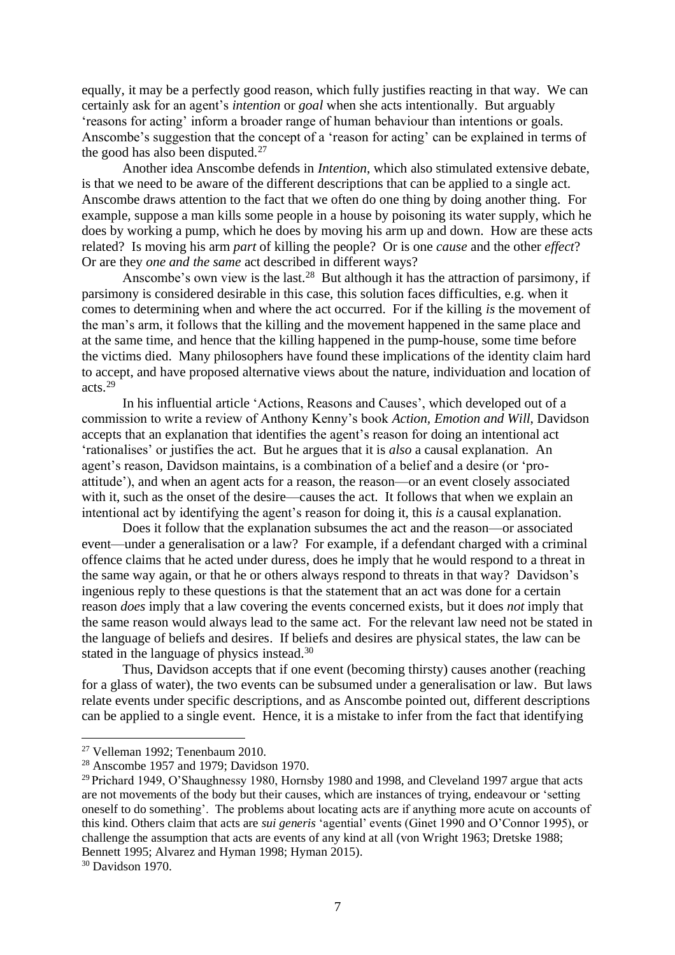equally, it may be a perfectly good reason, which fully justifies reacting in that way. We can certainly ask for an agent's *intention* or *goal* when she acts intentionally. But arguably 'reasons for acting' inform a broader range of human behaviour than intentions or goals. Anscombe's suggestion that the concept of a 'reason for acting' can be explained in terms of the good has also been disputed. $27$ 

Another idea Anscombe defends in *Intention*, which also stimulated extensive debate, is that we need to be aware of the different descriptions that can be applied to a single act. Anscombe draws attention to the fact that we often do one thing by doing another thing. For example, suppose a man kills some people in a house by poisoning its water supply, which he does by working a pump, which he does by moving his arm up and down. How are these acts related? Is moving his arm *part* of killing the people? Or is one *cause* and the other *effect*? Or are they *one and the same* act described in different ways?

Anscombe's own view is the last.<sup>28</sup> But although it has the attraction of parsimony, if parsimony is considered desirable in this case, this solution faces difficulties, e.g. when it comes to determining when and where the act occurred. For if the killing *is* the movement of the man's arm, it follows that the killing and the movement happened in the same place and at the same time, and hence that the killing happened in the pump-house, some time before the victims died. Many philosophers have found these implications of the identity claim hard to accept, and have proposed alternative views about the nature, individuation and location of acts.<sup>29</sup>

In his influential article 'Actions, Reasons and Causes', which developed out of a commission to write a review of Anthony Kenny's book *Action, Emotion and Will*, Davidson accepts that an explanation that identifies the agent's reason for doing an intentional act 'rationalises' or justifies the act. But he argues that it is *also* a causal explanation. An agent's reason, Davidson maintains, is a combination of a belief and a desire (or 'proattitude'), and when an agent acts for a reason, the reason—or an event closely associated with it, such as the onset of the desire—causes the act. It follows that when we explain an intentional act by identifying the agent's reason for doing it, this *is* a causal explanation.

Does it follow that the explanation subsumes the act and the reason—or associated event—under a generalisation or a law? For example, if a defendant charged with a criminal offence claims that he acted under duress, does he imply that he would respond to a threat in the same way again, or that he or others always respond to threats in that way? Davidson's ingenious reply to these questions is that the statement that an act was done for a certain reason *does* imply that a law covering the events concerned exists, but it does *not* imply that the same reason would always lead to the same act. For the relevant law need not be stated in the language of beliefs and desires. If beliefs and desires are physical states, the law can be stated in the language of physics instead.<sup>30</sup>

Thus, Davidson accepts that if one event (becoming thirsty) causes another (reaching for a glass of water), the two events can be subsumed under a generalisation or law. But laws relate events under specific descriptions, and as Anscombe pointed out, different descriptions can be applied to a single event. Hence, it is a mistake to infer from the fact that identifying

 $27$  Velleman 1992; Tenenbaum 2010.

<sup>28</sup> Anscombe 1957 and 1979; Davidson 1970.

<sup>&</sup>lt;sup>29</sup> Prichard 1949, O'Shaughnessy 1980, Hornsby 1980 and 1998, and Cleveland 1997 argue that acts are not movements of the body but their causes, which are instances of trying, endeavour or 'setting oneself to do something'. The problems about locating acts are if anything more acute on accounts of this kind. Others claim that acts are *sui generis* 'agential' events (Ginet 1990 and O'Connor 1995), or challenge the assumption that acts are events of any kind at all (von Wright 1963; Dretske 1988; Bennett 1995; Alvarez and Hyman 1998; Hyman 2015).

<sup>30</sup> Davidson 1970.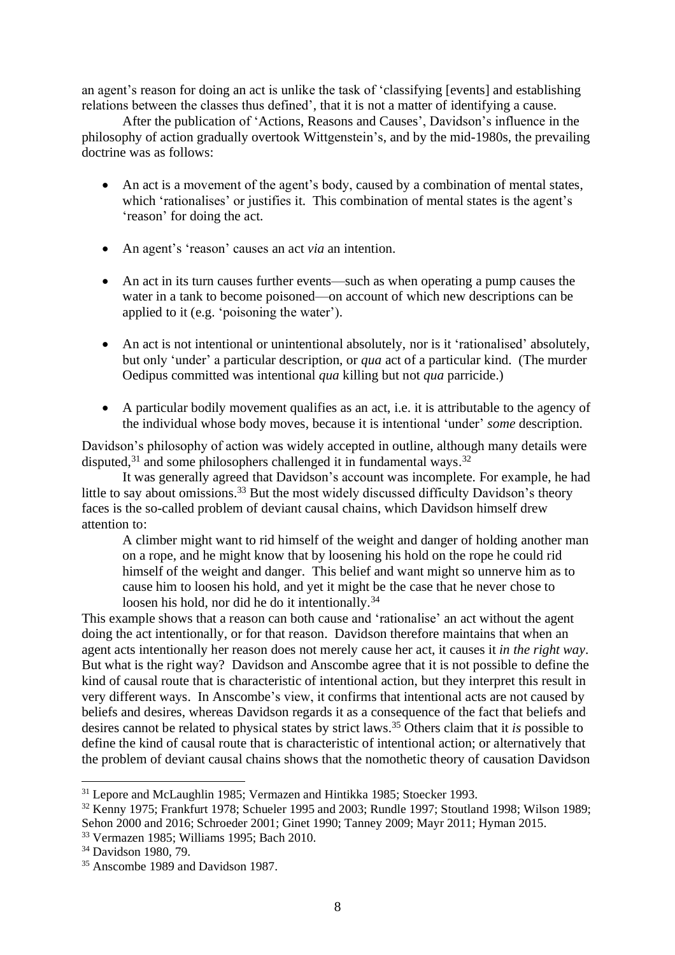an agent's reason for doing an act is unlike the task of 'classifying [events] and establishing relations between the classes thus defined', that it is not a matter of identifying a cause.

After the publication of 'Actions, Reasons and Causes', Davidson's influence in the philosophy of action gradually overtook Wittgenstein's, and by the mid-1980s, the prevailing doctrine was as follows:

- An act is a movement of the agent's body, caused by a combination of mental states, which 'rationalises' or justifies it. This combination of mental states is the agent's 'reason' for doing the act.
- An agent's 'reason' causes an act *via* an intention.
- An act in its turn causes further events—such as when operating a pump causes the water in a tank to become poisoned—on account of which new descriptions can be applied to it (e.g. 'poisoning the water').
- An act is not intentional or unintentional absolutely, nor is it 'rationalised' absolutely, but only 'under' a particular description, or *qua* act of a particular kind. (The murder Oedipus committed was intentional *qua* killing but not *qua* parricide.)
- A particular bodily movement qualifies as an act, i.e. it is attributable to the agency of the individual whose body moves, because it is intentional 'under' *some* description.

Davidson's philosophy of action was widely accepted in outline, although many details were disputed,  $31$  and some philosophers challenged it in fundamental ways.  $32$ 

It was generally agreed that Davidson's account was incomplete. For example, he had little to say about omissions.<sup>33</sup> But the most widely discussed difficulty Davidson's theory faces is the so-called problem of deviant causal chains, which Davidson himself drew attention to:

A climber might want to rid himself of the weight and danger of holding another man on a rope, and he might know that by loosening his hold on the rope he could rid himself of the weight and danger. This belief and want might so unnerve him as to cause him to loosen his hold, and yet it might be the case that he never chose to loosen his hold, nor did he do it intentionally.<sup>34</sup>

This example shows that a reason can both cause and 'rationalise' an act without the agent doing the act intentionally, or for that reason. Davidson therefore maintains that when an agent acts intentionally her reason does not merely cause her act, it causes it *in the right way*. But what is the right way? Davidson and Anscombe agree that it is not possible to define the kind of causal route that is characteristic of intentional action, but they interpret this result in very different ways. In Anscombe's view, it confirms that intentional acts are not caused by beliefs and desires, whereas Davidson regards it as a consequence of the fact that beliefs and desires cannot be related to physical states by strict laws. <sup>35</sup> Others claim that it *is* possible to define the kind of causal route that is characteristic of intentional action; or alternatively that the problem of deviant causal chains shows that the nomothetic theory of causation Davidson

<sup>&</sup>lt;sup>31</sup> Lepore and McLaughlin 1985; Vermazen and Hintikka 1985; Stoecker 1993.

<sup>&</sup>lt;sup>32</sup> Kenny 1975; Frankfurt 1978; Schueler 1995 and 2003; Rundle 1997; Stoutland 1998; Wilson 1989; Sehon 2000 and 2016; Schroeder 2001; Ginet 1990; Tanney 2009; Mayr 2011; Hyman 2015.

<sup>33</sup> Vermazen 1985; Williams 1995; Bach 2010.

<sup>34</sup> Davidson 1980, 79.

<sup>&</sup>lt;sup>35</sup> Anscombe 1989 and Davidson 1987.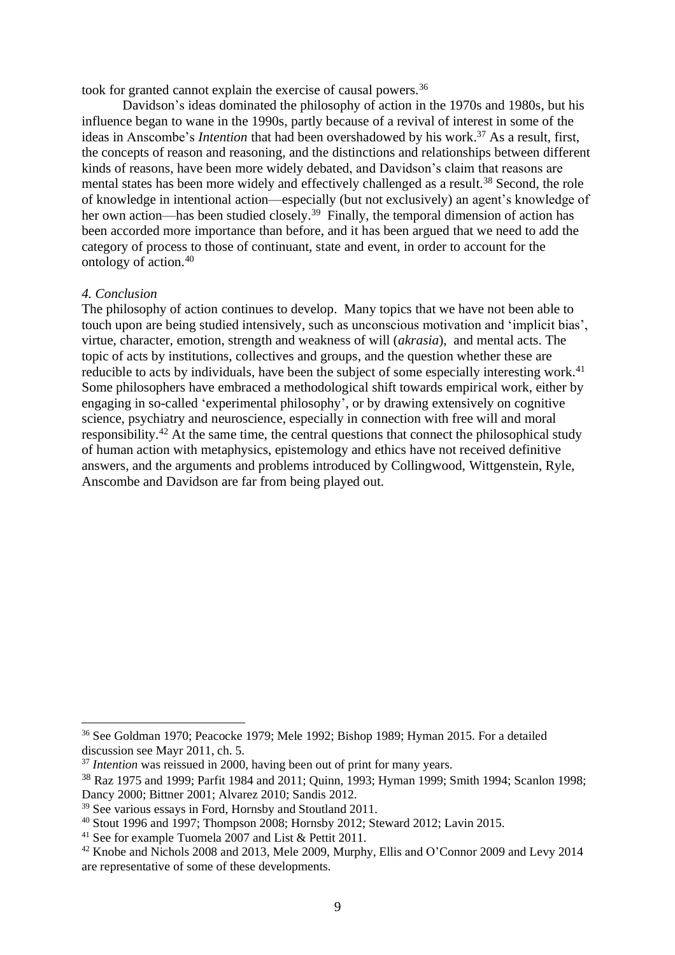took for granted cannot explain the exercise of causal powers.<sup>36</sup>

Davidson's ideas dominated the philosophy of action in the 1970s and 1980s, but his influence began to wane in the 1990s, partly because of a revival of interest in some of the ideas in Anscombe's *Intention* that had been overshadowed by his work. <sup>37</sup> As a result, first, the concepts of reason and reasoning, and the distinctions and relationships between different kinds of reasons, have been more widely debated, and Davidson's claim that reasons are mental states has been more widely and effectively challenged as a result.<sup>38</sup> Second, the role of knowledge in intentional action—especially (but not exclusively) an agent's knowledge of her own action—has been studied closely.<sup>39</sup> Finally, the temporal dimension of action has been accorded more importance than before, and it has been argued that we need to add the category of process to those of continuant, state and event, in order to account for the ontology of action. 40

## *4. Conclusion*

The philosophy of action continues to develop. Many topics that we have not been able to touch upon are being studied intensively, such as unconscious motivation and 'implicit bias', virtue, character, emotion, strength and weakness of will (*akrasia*), and mental acts. The topic of acts by institutions, collectives and groups, and the question whether these are reducible to acts by individuals, have been the subject of some especially interesting work.<sup>41</sup> Some philosophers have embraced a methodological shift towards empirical work, either by engaging in so-called 'experimental philosophy', or by drawing extensively on cognitive science, psychiatry and neuroscience, especially in connection with free will and moral responsibility.<sup>42</sup> At the same time, the central questions that connect the philosophical study of human action with metaphysics, epistemology and ethics have not received definitive answers, and the arguments and problems introduced by Collingwood, Wittgenstein, Ryle, Anscombe and Davidson are far from being played out.

<sup>36</sup> See Goldman 1970; Peacocke 1979; Mele 1992; Bishop 1989; Hyman 2015. For a detailed discussion see Mayr 2011, ch. 5.

<sup>&</sup>lt;sup>37</sup> *Intention* was reissued in 2000, having been out of print for many years.

<sup>38</sup> Raz 1975 and 1999; Parfit 1984 and 2011; Quinn, 1993; Hyman 1999; Smith 1994; Scanlon 1998; Dancy 2000; Bittner 2001; Alvarez 2010; Sandis 2012.

<sup>&</sup>lt;sup>39</sup> See various essays in Ford, Hornsby and Stoutland 2011.

<sup>40</sup> Stout 1996 and 1997; Thompson 2008; Hornsby 2012; Steward 2012; Lavin 2015.

<sup>&</sup>lt;sup>41</sup> See for example Tuomela  $2007$  and List & Pettit 2011.

<sup>&</sup>lt;sup>42</sup> Knobe and Nichols 2008 and 2013, Mele 2009, Murphy, Ellis and O'Connor 2009 and Levy 2014 are representative of some of these developments.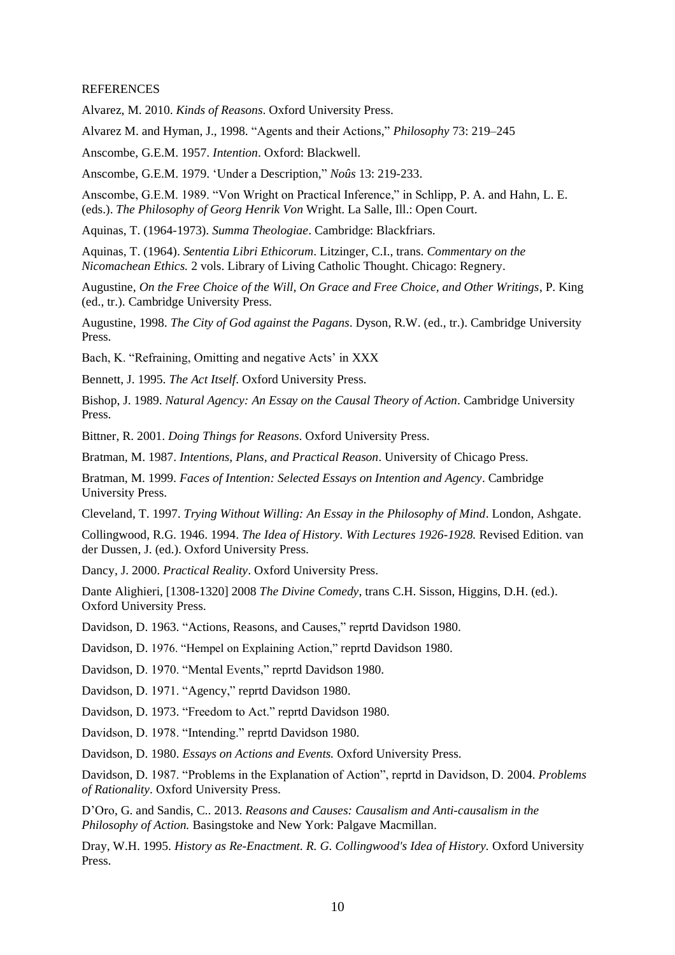#### REFERENCES

Alvarez, M. 2010. *Kinds of Reasons*. Oxford University Press.

Alvarez M. and Hyman, J., 1998. "Agents and their Actions," *Philosophy* 73: 219–245

Anscombe, G.E.M. 1957. *Intention*. Oxford: Blackwell.

Anscombe, G.E.M. 1979. 'Under a Description," *Noûs* 13: 219-233.

Anscombe, G.E.M. 1989. "Von Wright on Practical Inference," in Schlipp, P. A. and Hahn, L. E. (eds.). *The Philosophy of Georg Henrik Von* Wright. La Salle, Ill.: Open Court.

Aquinas, T. (1964-1973). *Summa Theologiae*. Cambridge: Blackfriars.

Aquinas, T. (1964). *Sententia Libri Ethicorum*. Litzinger, C.I., trans. *Commentary on the Nicomachean Ethics.* 2 vols. Library of Living Catholic Thought. Chicago: Regnery.

Augustine, *On the Free Choice of the Will, On Grace and Free Choice, and Other Writings*, P. King (ed., tr.). Cambridge University Press.

Augustine, 1998. *The City of God against the Pagans*. Dyson, R.W. (ed., tr.). Cambridge University Press.

Bach, K. "Refraining, Omitting and negative Acts' in XXX

Bennett, J. 1995. *The Act Itself*. Oxford University Press.

Bishop, J. 1989. *Natural Agency: An Essay on the Causal Theory of Action*. Cambridge University Press.

Bittner, R. 2001. *Doing Things for Reasons*. Oxford University Press.

Bratman, M. 1987. *Intentions, Plans, and Practical Reason*. University of Chicago Press.

Bratman, M. 1999. *Faces of Intention: Selected Essays on Intention and Agency*. Cambridge University Press.

Cleveland, T. 1997. *Trying Without Willing: An Essay in the Philosophy of Mind*. London, Ashgate.

Collingwood, R.G. 1946. 1994. *The Idea of History. With Lectures 1926-1928.* Revised Edition. van der Dussen, J. (ed.). Oxford University Press.

Dancy, J. 2000. *Practical Reality*. Oxford University Press.

Dante Alighieri, [1308-1320] 2008 *The Divine Comedy*, trans C.H. Sisson, Higgins, D.H. (ed.). Oxford University Press.

Davidson, D. 1963. "Actions, Reasons, and Causes," reprtd Davidson 1980.

Davidson, D. 1976. "Hempel on Explaining Action," reprtd Davidson 1980.

Davidson, D. 1970. "Mental Events," reprtd Davidson 1980.

Davidson, D. 1971. "Agency," reprtd Davidson 1980.

Davidson, D. 1973. "Freedom to Act." reprtd Davidson 1980.

Davidson, D. 1978. "Intending." reprtd Davidson 1980.

Davidson, D. 1980. *Essays on Actions and Events.* Oxford University Press.

Davidson, D. 1987. "Problems in the Explanation of Action", reprtd in Davidson, D. 2004. *Problems of Rationality*. Oxford University Press.

D'Oro, G. and Sandis, C.. 2013. *Reasons and Causes: Causalism and Anti-causalism in the Philosophy of Action.* Basingstoke and New York: Palgave Macmillan.

Dray, W.H. 1995. *History as Re-Enactment*. *R. G. Collingwood's Idea of History.* Oxford University Press.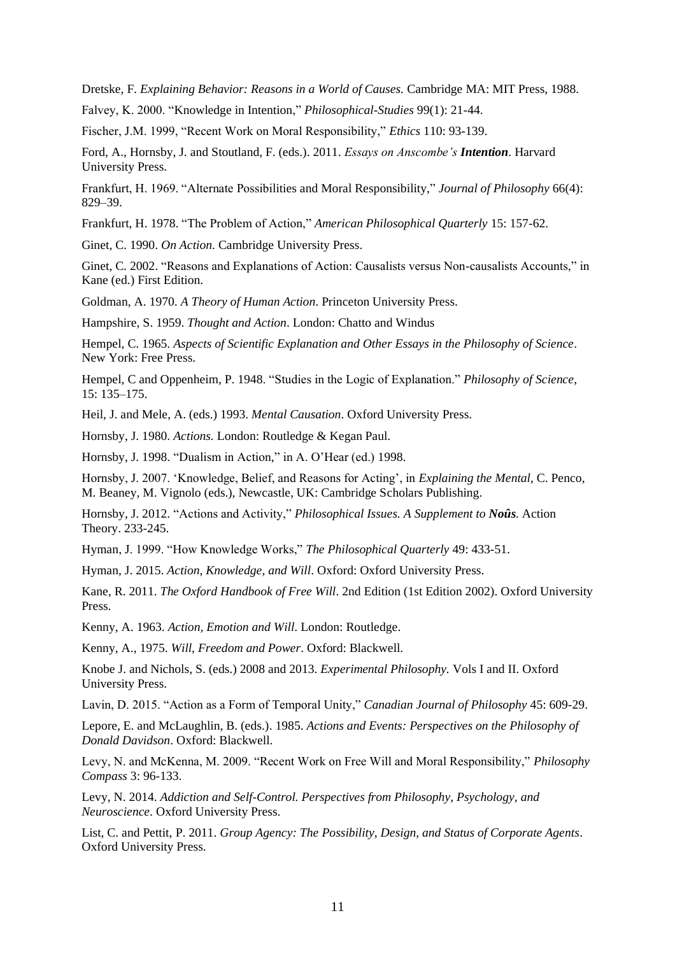Dretske, F. *Explaining Behavior: Reasons in a World of Causes.* Cambridge MA: MIT Press, 1988.

Falvey, K. 2000. "Knowledge in Intention," *Philosophical-Studies* 99(1): 21-44.

Fischer, J.M. 1999, "Recent Work on Moral Responsibility," *Ethics* 110: 93-139.

Ford, A., Hornsby, J. and Stoutland, F. (eds.). 2011. *Essays on Anscombe's Intention*. Harvard University Press.

Frankfurt, H. 1969. "Alternate Possibilities and Moral Responsibility," *Journal of Philosophy* 66(4): 829–39.

Frankfurt, H. 1978. "The Problem of Action," *American Philosophical Quarterly* 15: 157-62.

Ginet, C. 1990. *On Action.* Cambridge University Press.

Ginet, C. 2002. "Reasons and Explanations of Action: Causalists versus Non-causalists Accounts," in Kane (ed.) First Edition.

Goldman, A. 1970. *A Theory of Human Action*. Princeton University Press.

Hampshire, S. 1959. *Thought and Action*. London: Chatto and Windus

Hempel, C. 1965. *Aspects of Scientific Explanation and Other Essays in the Philosophy of Science*. New York: Free Press.

Hempel, C and Oppenheim, P. 1948. "Studies in the Logic of Explanation." *Philosophy of Science*, 15: 135–175.

Heil, J. and Mele, A. (eds.) 1993. *Mental Causation*. Oxford University Press.

Hornsby, J. 1980. *Actions.* London: Routledge & Kegan Paul.

Hornsby, J. 1998. "Dualism in Action," in A. O'Hear (ed.) 1998.

Hornsby, J. 2007. 'Knowledge, Belief, and Reasons for Acting', in *Explaining the Mental*, C. Penco, M. Beaney, M. Vignolo (eds.), Newcastle, UK: Cambridge Scholars Publishing.

Hornsby, J. 2012. "Actions and Activity," *Philosophical Issues. A Supplement to Noûs.* Action Theory. 233-245.

Hyman, J. 1999. "How Knowledge Works," *The Philosophical Quarterly* 49: 433-51.

Hyman, J. 2015. *Action, Knowledge, and Will*. Oxford: Oxford University Press.

Kane, R. 2011. *The Oxford Handbook of Free Will*. 2nd Edition (1st Edition 2002). Oxford University Press.

Kenny, A. 1963. *Action, Emotion and Will*. London: Routledge.

Kenny, A., 1975. *Will, Freedom and Power*. Oxford: Blackwell.

Knobe J. and Nichols, S. (eds.) 2008 and 2013. *Experimental Philosophy.* Vols I and II. Oxford University Press.

Lavin, D. 2015. "Action as a Form of Temporal Unity," *Canadian Journal of Philosophy* 45: 609-29.

Lepore, E. and McLaughlin, B. (eds.). 1985. *Actions and Events: Perspectives on the Philosophy of Donald Davidson*. Oxford: Blackwell.

Levy, N. and McKenna, M. 2009. "Recent Work on Free Will and Moral Responsibility," *Philosophy Compass* 3: 96-133.

Levy, N. 2014. *Addiction and Self-Control. Perspectives from Philosophy, Psychology, and Neuroscience*. Oxford University Press.

List, C. and Pettit, P. 2011. *Group Agency: The Possibility, Design, and Status of Corporate Agents*. Oxford University Press.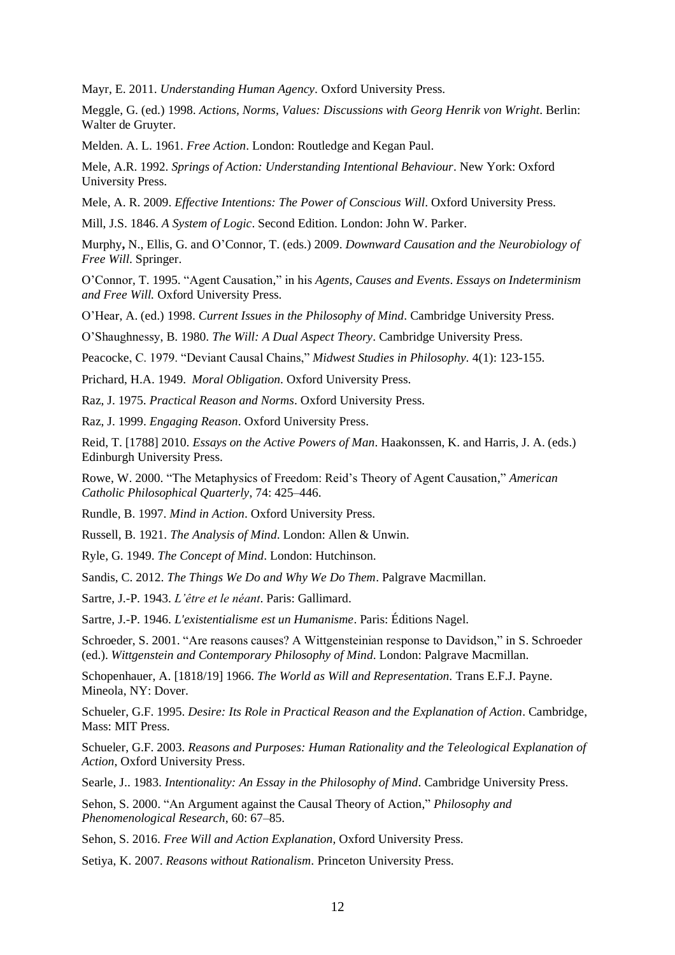Mayr, E. 2011. *Understanding Human Agency.* Oxford University Press.

Meggle, G. (ed.) 1998. *Actions, Norms, Values: Discussions with Georg Henrik von Wright*. Berlin: Walter de Gruyter.

Melden. A. L. 1961. *Free Action*. London: Routledge and Kegan Paul.

Mele, A.R. 1992. *Springs of Action: Understanding Intentional Behaviour*. New York: Oxford University Press.

Mele, A. R. 2009. *Effective Intentions: The Power of Conscious Will*. Oxford University Press.

Mill, J.S. 1846. *A System of Logic*. Second Edition. London: John W. Parker.

Murphy**,** N., Ellis, G. and O'Connor, T. (eds.) 2009. *Downward Causation and the Neurobiology of Free Will*. Springer.

O'Connor, T. 1995. "Agent Causation," in his *Agents, Causes and Events*. *Essays on Indeterminism and Free Will.* Oxford University Press.

O'Hear, A. (ed.) 1998. *Current Issues in the Philosophy of Mind*. Cambridge University Press.

O'Shaughnessy, B. 1980. *The Will: A Dual Aspect Theory*. Cambridge University Press.

Peacocke, C. 1979. "Deviant Causal Chains," *Midwest Studies in Philosophy.* 4(1): 123-155.

Prichard, H.A. 1949. *Moral Obligation*. Oxford University Press.

Raz, J. 1975. *Practical Reason and Norms*. Oxford University Press.

Raz, J. 1999. *Engaging Reason*. Oxford University Press.

Reid, T. [1788] 2010. *Essays on the Active Powers of Man*. Haakonssen, K. and Harris, J. A. (eds.) Edinburgh University Press.

Rowe, W. 2000. "The Metaphysics of Freedom: Reid's Theory of Agent Causation," *American Catholic Philosophical Quarterly*, 74: 425–446.

Rundle, B. 1997. *Mind in Action*. Oxford University Press.

Russell, B. 1921. *The Analysis of Mind*. London: Allen & Unwin.

Ryle, G. 1949. *The Concept of Mind*. London: Hutchinson.

Sandis, C. 2012. *The Things We Do and Why We Do Them*. Palgrave Macmillan.

Sartre, J.-P. 1943. *L'être et le néant*. Paris: Gallimard.

Sartre, J.-P. 1946. *L'existentialisme est un Humanisme*. Paris: Éditions Nagel.

Schroeder, S. 2001. "Are reasons causes? A Wittgensteinian response to Davidson," in S. Schroeder (ed.). *Wittgenstein and Contemporary Philosophy of Mind*. London: Palgrave Macmillan.

Schopenhauer, A. [1818/19] 1966. *The World as Will and Representation.* Trans E.F.J. Payne. Mineola, NY: Dover.

Schueler, G.F. 1995. *Desire: Its Role in Practical Reason and the Explanation of Action*. Cambridge, Mass: MIT Press.

Schueler, G.F. 2003. *Reasons and Purposes: Human Rationality and the Teleological Explanation of Action*, Oxford University Press.

Searle, J.. 1983. *Intentionality: An Essay in the Philosophy of Mind*. Cambridge University Press.

Sehon, S. 2000. "An Argument against the Causal Theory of Action," *Philosophy and Phenomenological Research*, 60: 67–85.

Sehon, S. 2016. *Free Will and Action Explanation,* Oxford University Press.

Setiya, K. 2007. *Reasons without Rationalism*. Princeton University Press.